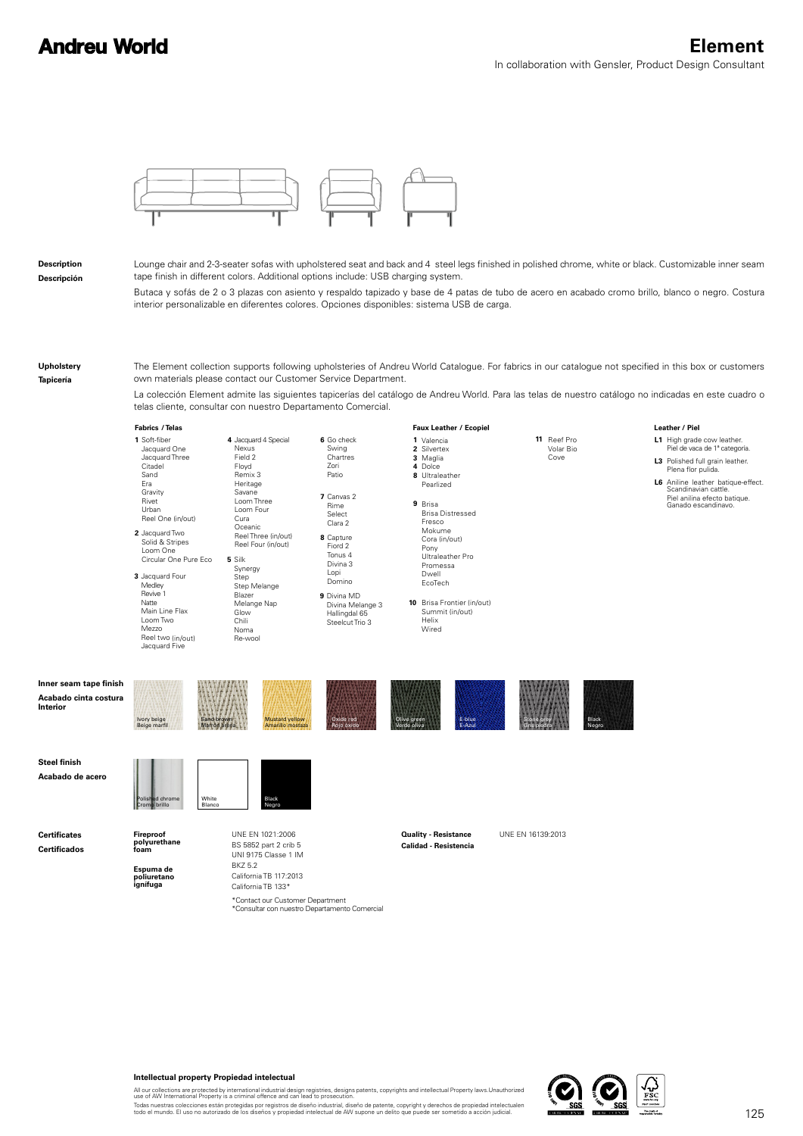

**Description Descripción** Lounge chair and 2-3-seater sofas with upholstered seat and back and 4 steel legs finished in polished chrome, white or black. Customizable inner seam tape finish in different colors. Additional options include: USB charging system.

Butaca y sofás de 2 o 3 plazas con asiento y respaldo tapizado y base de 4 patas de tubo de acero en acabado cromo brillo, blanco o negro. Costura interior personalizable en diferentes colores. Opciones disponibles: sistema USB de carga.

**Upholstery**

**Tapicería**

The Element collection supports following upholsteries of Andreu World Catalogue. For fabrics in our catalogue not specified in this box or customers own materials please contact our Customer Service Department.

**Faux Leather** / Ecopiel La colección Element admite las siguientes tapicerías del catálogo de Andreu World. Para las telas de nuestro catálogo no indicadas en este cuadro o telas cliente, consultar con nuestro Departamento Comercial.

**Fabrics** / Telas

**1** Soft-fiber **2** Jacquard Two Solid & Stripes Jacquard One Jacquard Three Citadel Sand Era Gravity Rivet Urban Reel One (in/out) Loom One Circular One Pure Eco

**3** Jacquard Four Re-wool **Medley** Revive 1 Natte Main Line Flax Loom Two Mezzo Reel two (in/out)

> Sand brown Marrón arena

White Blanco

Jacquard Five

Ivory beige Beige marfil **5** Silk

Synergy Step Step Melange Blazer Melange Nap **Glow Chili** Noma

**4** Jacquard 4 Special

**Nexus** Field 2 Floyd Remix 3 Heritage Savane Loom Three Loom Four Cura **Oceanic** Reel Three (in/out) Reel Four (in/out)

**8** Capture **9** Divina MD **7** Canvas 2 Fiord 2 Tonus 4 Divina 3 Lopi Domino Chartres Zori Patio Rime Select Clara 2

> Divina Melange 3 Hallingdal 65 Steelcut Trio 3

> > Oxide red Rojo óxido

**6** Go check

Swing

Maglia **3** Magli<br>**4** Dolce **8** Ultraleather **9** Brisa Pearlized Brisa Distressed Fresco Mokume Cora (in/out) Pony Ultraleather Pro Promessa Dwell EcoTech

Valencia **1** Silvertex **2**

**10** Brisa Frontier (in/out) Summit (in/out) Helix Wired

> E-blue E-Azul

**11** Reef Pro Volar Bio Cove

## Leather / Piel

- **L1** High grade cow leather. **L3** Polished full grain leather. Piel de vaca de 1ª categoría.
- **L6** Aniline leather batique-effect. Plena flor pulida. Piel anilina efecto batique. Ganado escandinavo. Scandinavian cattle.

**Inner seam tape finish Acabado cinta costura Interior**

**Steel finish Acabado de acero**

**Certificates Certificados**



**Espuma de poliuretano ignífuga**

Polished chrome Cromo brillo

> BS 5852 part 2 crib 5 UNI 9175 Classe 1 IM BKZ 5.2 California TB 117:2013 California TB 133\*

\*Contact our Customer Department<br>\*Consultar con nuestro Departamento Comercial

Mustard yellow Amarillo mostaza

Black Negro

## UNE EN 1021:2006 **Duality - Resistance** UNE EN 16139:2013 **Calidad - Resistencia**

Olive green Verde oliva

Stone grey Gris piedra **Black** Negro



## **Intellectual property Propiedad intelectual**

All our collections are protected by international industrial design registries, designs patents, copyrights and intellectual Property laws.Unauthorized<br>use of AW International Property is a criminal offence and can lead t

Todas nuestras colecciones están protegidas por registros de diseño industrial, diseño de patente, copyright y derechos de propiedad intelectualen<br>todo el mundo. El uso no autorizado de los diseños y propiedad intelectual